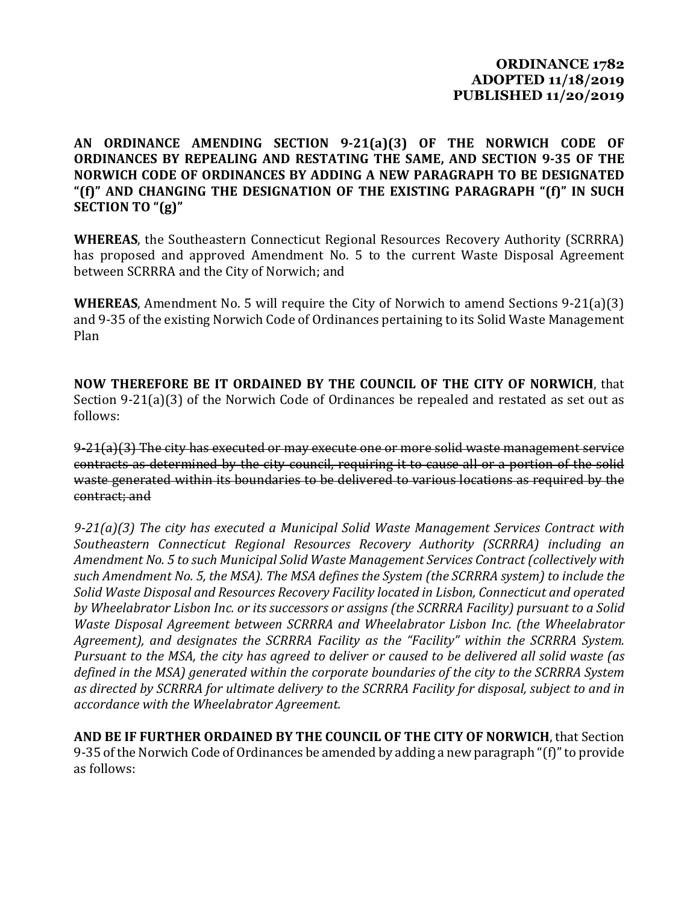## **ORDINANCE 1782 ADOPTED 11/18/2019 PUBLISHED 11/20/2019**

## **AN ORDINANCE AMENDING SECTION 9-21(a)(3) OF THE NORWICH CODE OF ORDINANCES BY REPEALING AND RESTATING THE SAME, AND SECTION 9-35 OF THE NORWICH CODE OF ORDINANCES BY ADDING A NEW PARAGRAPH TO BE DESIGNATED "(f)" AND CHANGING THE DESIGNATION OF THE EXISTING PARAGRAPH "(f)" IN SUCH SECTION TO "(g)"**

**WHEREAS**, the Southeastern Connecticut Regional Resources Recovery Authority (SCRRRA) has proposed and approved Amendment No. 5 to the current Waste Disposal Agreement between SCRRRA and the City of Norwich; and

**WHEREAS**, Amendment No. 5 will require the City of Norwich to amend Sections 9-21(a)(3) and 9-35 of the existing Norwich Code of Ordinances pertaining to its Solid Waste Management Plan

**NOW THEREFORE BE IT ORDAINED BY THE COUNCIL OF THE CITY OF NORWICH**, that Section 9-21(a)(3) of the Norwich Code of Ordinances be repealed and restated as set out as follows:

9-21(a)(3) The city has executed or may execute one or more solid waste management service contracts as determined by the city council, requiring it to cause all or a portion of the solid waste generated within its boundaries to be delivered to various locations as required by the contract; and

*9-21(a)(3) The city has executed a Municipal Solid Waste Management Services Contract with Southeastern Connecticut Regional Resources Recovery Authority (SCRRRA) including an Amendment No. 5 to such Municipal Solid Waste Management Services Contract (collectively with such Amendment No. 5, the MSA). The MSA defines the System (the SCRRRA system) to include the Solid Waste Disposal and Resources Recovery Facility located in Lisbon, Connecticut and operated by Wheelabrator Lisbon Inc. or its successors or assigns (the SCRRRA Facility) pursuant to a Solid Waste Disposal Agreement between SCRRRA and Wheelabrator Lisbon Inc. (the Wheelabrator Agreement), and designates the SCRRRA Facility as the "Facility" within the SCRRRA System. Pursuant to the MSA, the city has agreed to deliver or caused to be delivered all solid waste (as defined in the MSA) generated within the corporate boundaries of the city to the SCRRRA System as directed by SCRRRA for ultimate delivery to the SCRRRA Facility for disposal, subject to and in accordance with the Wheelabrator Agreement.* 

**AND BE IF FURTHER ORDAINED BY THE COUNCIL OF THE CITY OF NORWICH**, that Section 9-35 of the Norwich Code of Ordinances be amended by adding a new paragraph "(f)" to provide as follows: